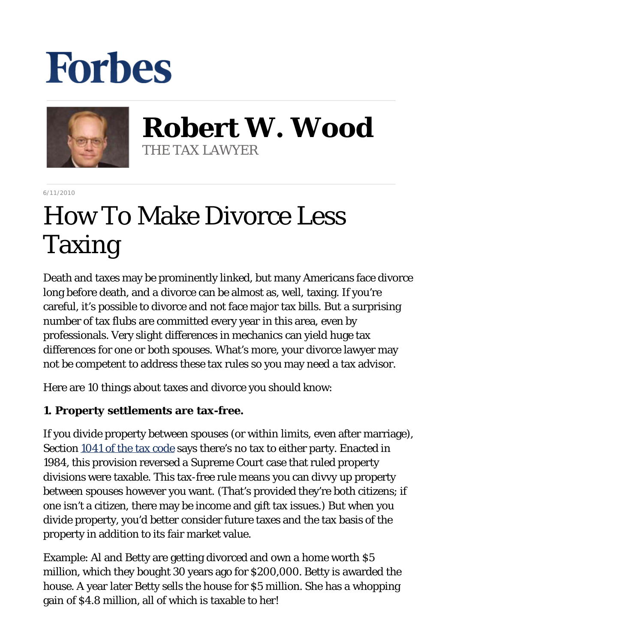# **Forbes**



**Robert W. Wood** THE TAX LAWYER

6/11/2010

# How To Make Divorce Less Taxing

Death and taxes may be prominently linked, but many Americans face divorce long before death, and a divorce can be almost as, well, taxing. If you're careful, it's possible to divorce and not face major tax bills. But a surprising number of tax flubs are committed every year in this area, even by professionals. Very slight differences in mechanics can yield huge tax differences for one or both spouses. What's more, your divorce lawyer may not be competent to address these tax rules so you may need a tax advisor.

Here are 10 things about taxes and divorce you should know:

#### **1. Property settlements are tax-free.**

If you divide property between spouses (or within limits, even after marriage), Section [1041 of the tax code](http://www.law.cornell.edu/uscode/26/usc_sec_26_00001041----000-.html) says there's no tax to either party. Enacted in 1984, this provision reversed a Supreme Court case that ruled property divisions were taxable. This tax-free rule means you can divvy up property between spouses however you want. (That's provided they're both citizens; if one isn't a citizen, there may be income and gift tax issues.) But when you divide property, you'd better consider future taxes and the tax basis of the property in addition to its fair market value.

Example: Al and Betty are getting divorced and own a home worth \$5 million, which they bought 30 years ago for \$200,000. Betty is awarded the house. A year later Betty sells the house for \$5 million. She has a whopping gain of \$4.8 million, all of which is taxable to her!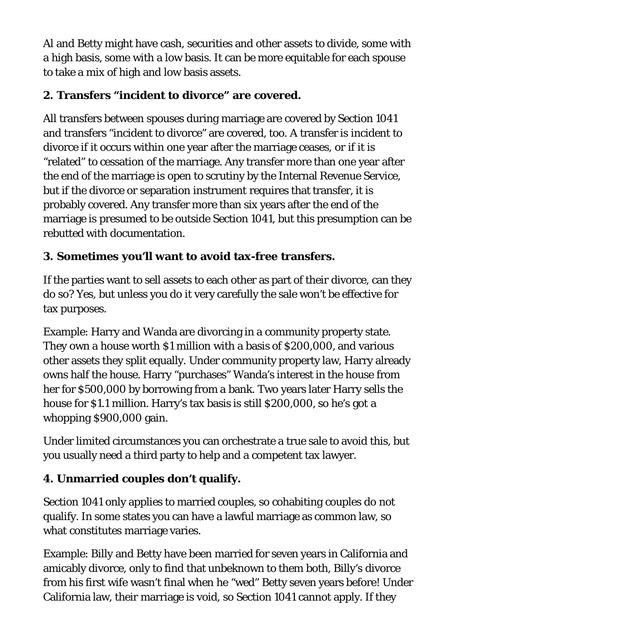Al and Betty might have cash, securities and other assets to divide, some with a high basis, some with a low basis. It can be more equitable for each spouse to take a mix of high and low basis assets.

## **2. Transfers "incident to divorce" are covered.**

All transfers between spouses during marriage are covered by Section 1041 and transfers "incident to divorce" are covered, too. A transfer is incident to divorce if it occurs within one year after the marriage ceases, or if it is "related" to cessation of the marriage. Any transfer more than one year after the end of the marriage is open to scrutiny by the Internal Revenue Service, but if the divorce or separation instrument requires that transfer, it is probably covered. Any transfer more than six years after the end of the marriage is presumed to be outside Section 1041, but this presumption can be rebutted with documentation.

### **3. Sometimes you'll want to avoid tax-free transfers.**

If the parties want to sell assets to each other as part of their divorce, can they do so? Yes, but unless you do it very carefully the sale won't be effective for tax purposes.

Example: Harry and Wanda are divorcing in a community property state. They own a house worth \$1 million with a basis of \$200,000, and various other assets they split equally. Under community property law, Harry already owns half the house. Harry "purchases" Wanda's interest in the house from her for \$500,000 by borrowing from a bank. Two years later Harry sells the house for \$1.1 million. Harry's tax basis is still \$200,000, so he's got a whopping \$900,000 gain.

Under limited circumstances you can orchestrate a true sale to avoid this, but you usually need a third party to help and a competent tax lawyer.

# **4. Unmarried couples don't qualify.**

Section 1041 only applies to married couples, so cohabiting couples do not qualify. In some states you can have a lawful marriage as common law, so what constitutes marriage varies.

Example: Billy and Betty have been married for seven years in California and amicably divorce, only to find that unbeknown to them both, Billy's divorce from his first wife wasn't final when he "wed" Betty seven years before! Under California law, their marriage is void, so Section 1041 cannot apply. If they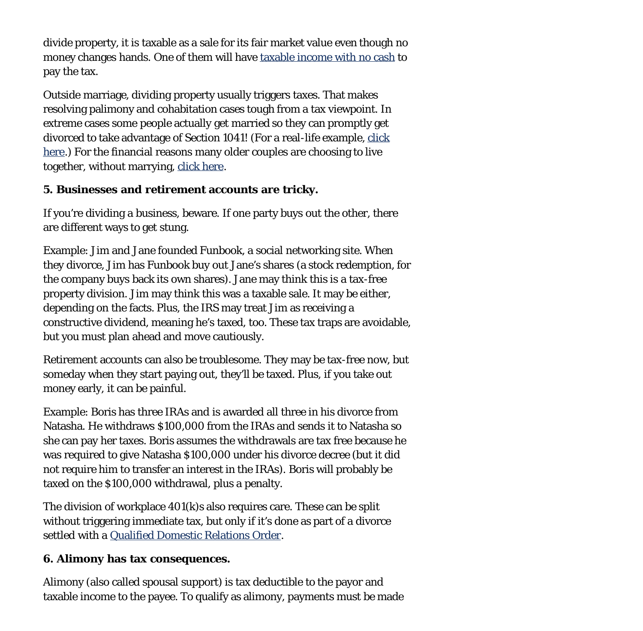divide property, it is taxable as a sale for its fair market value even though no money changes hands. One of them will have [taxable income with no cash](http://www.forbes.com/2009/10/12/tax-cancelled-debt-deferred-income-personal-finance-wood.html) to pay the tax.

Outside marriage, dividing property usually triggers taxes. That makes resolving palimony and cohabitation cases tough from a tax viewpoint. In extreme cases some people actually get married so they can promptly get divorced to take advantage of Section 1041! (For a real-life example, [click](http://www.forbes.com/2010/06/09/tax-tales-irs-sex-marriage-wrongful-imprisonment-personal-finance-robert-wood.html) [here](http://www.forbes.com/2010/06/09/tax-tales-irs-sex-marriage-wrongful-imprisonment-personal-finance-robert-wood.html).) For the financial reasons many older couples are choosing to live together, without marrying, [click here.](http://www.forbes.com/forbes/2007/1112/086.html)

#### **5. Businesses and retirement accounts are tricky.**

If you're dividing a business, beware. If one party buys out the other, there are different ways to get stung.

Example: Jim and Jane founded Funbook, a social networking site. When they divorce, Jim has Funbook buy out Jane's shares (a stock redemption, for the company buys back its own shares). Jane may think this is a tax-free property division. Jim may think this was a taxable sale. It may be either, depending on the facts. Plus, the IRS may treat Jim as receiving a constructive dividend, meaning he's taxed, too. These tax traps are avoidable, but you must plan ahead and move cautiously.

Retirement accounts can also be troublesome. They may be tax-free now, but someday when they start paying out, they'll be taxed. Plus, if you take out money early, it can be painful.

Example: Boris has three IRAs and is awarded all three in his divorce from Natasha. He withdraws \$100,000 from the IRAs and sends it to Natasha so she can pay her taxes. Boris assumes the withdrawals are tax free because he was required to give Natasha \$100,000 under his divorce decree (but it did not require him to transfer an interest in the IRAs). Boris will probably be taxed on the \$100,000 withdrawal, plus a penalty.

The division of workplace 401(k)s also requires care. These can be split without triggering immediate tax, but only if it's done as part of a divorce settled with a [Qualified Domestic Relations Order.](http://www.dol.gov/ebsa/faqs/faq_qdro.html)

#### **6. Alimony has tax consequences.**

Alimony (also called spousal support) is tax deductible to the payor and taxable income to the payee. To qualify as alimony, payments must be made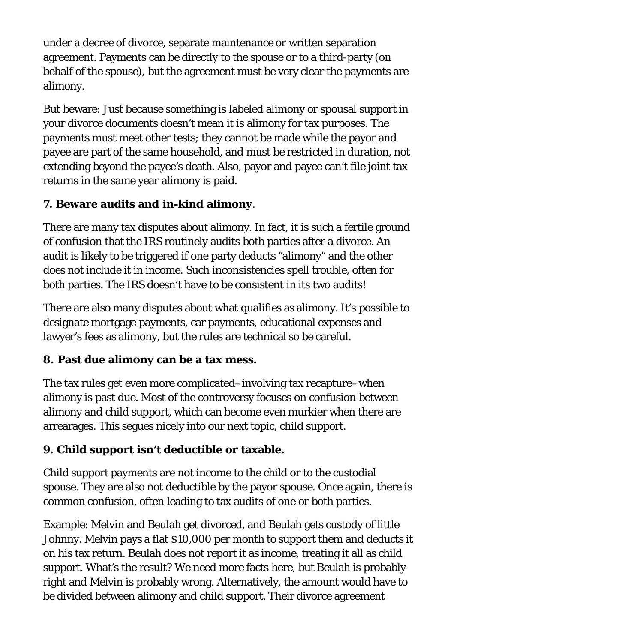under a decree of divorce, separate maintenance or written separation agreement. Payments can be directly to the spouse or to a third-party (on behalf of the spouse), but the agreement must be very clear the payments are alimony.

But beware: Just because something is labeled alimony or spousal support in your divorce documents doesn't mean it is alimony for tax purposes. The payments must meet other tests; they cannot be made while the payor and payee are part of the same household, and must be restricted in duration, not extending beyond the payee's death. Also, payor and payee can't file joint tax returns in the same year alimony is paid.

#### **7. Beware audits and in-kind alimony**.

There are many tax disputes about alimony. In fact, it is such a fertile ground of confusion that the IRS routinely audits both parties after a divorce. An audit is likely to be triggered if one party deducts "alimony" and the other does not include it in income. Such inconsistencies spell trouble, often for both parties. The IRS doesn't have to be consistent in its two audits!

There are also many disputes about what qualifies as alimony. It's possible to designate mortgage payments, car payments, educational expenses and lawyer's fees as alimony, but the rules are technical so be careful.

#### **8. Past due alimony can be a tax mess.**

The tax rules get even more complicated–involving tax recapture–when alimony is past due. Most of the controversy focuses on confusion between alimony and child support, which can become even murkier when there are arrearages. This segues nicely into our next topic, child support.

# **9. Child support isn't deductible or taxable.**

Child support payments are not income to the child or to the custodial spouse. They are also not deductible by the payor spouse. Once again, there is common confusion, often leading to tax audits of one or both parties.

Example: Melvin and Beulah get divorced, and Beulah gets custody of little Johnny. Melvin pays a flat \$10,000 per month to support them and deducts it on his tax return. Beulah does not report it as income, treating it all as child support. What's the result? We need more facts here, but Beulah is probably right and Melvin is probably wrong. Alternatively, the amount would have to be divided between alimony and child support. Their divorce agreement